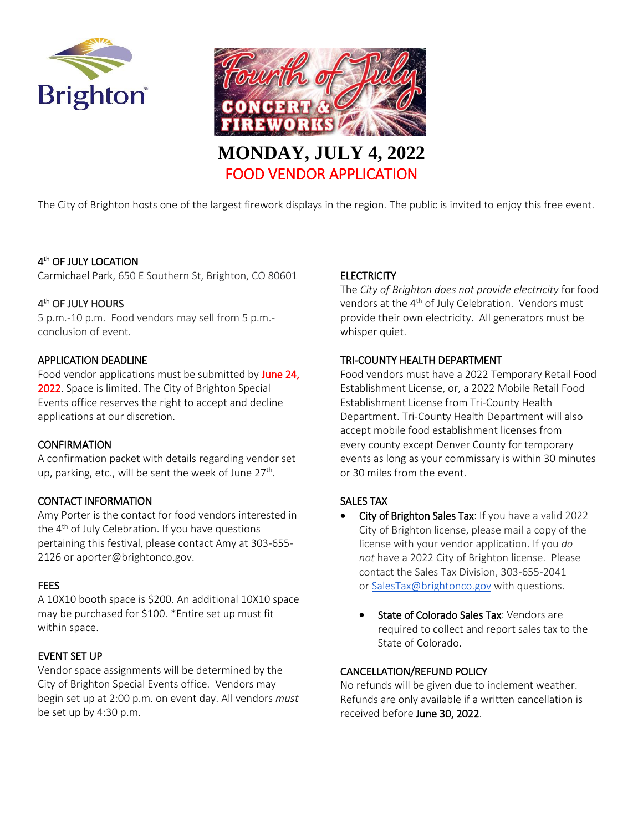



The City of Brighton hosts one of the largest firework displays in the region. The public is invited to enjoy this free event.

# 4 th OF JULY LOCATION

Carmichael Park, 650 E Southern St, Brighton, CO 80601

# 4<sup>th</sup> OF JULY HOURS

5 p.m.-10 p.m. Food vendors may sell from 5 p.m. conclusion of event.

## APPLICATION DEADLINE

Food vendor applications must be submitted by June 24, 2022. Space is limited. The City of Brighton Special Events office reserves the right to accept and decline applications at our discretion.

#### **CONFIRMATION**

A confirmation packet with details regarding vendor set up, parking, etc., will be sent the week of June 27<sup>th</sup>.

# CONTACT INFORMATION

Amy Porter is the contact for food vendors interested in the  $4<sup>th</sup>$  of July Celebration. If you have questions pertaining this festival, please contact Amy at 303-655- 2126 or aporter@brightonco.gov.

#### FEES

A 10X10 booth space is \$200. An additional 10X10 space may be purchased for \$100. \*Entire set up must fit within space.

#### EVENT SET UP

Vendor space assignments will be determined by the City of Brighton Special Events office. Vendors may begin set up at 2:00 p.m. on event day. All vendors *must* be set up by 4:30 p.m.

## **ELECTRICITY**

The *City of Brighton does not provide electricity* for food vendors at the 4<sup>th</sup> of July Celebration. Vendors must provide their own electricity. All generators must be whisper quiet.

## TRI-COUNTY HEALTH DEPARTMENT

Food vendors must have a 2022 Temporary Retail Food Establishment License, or, a 2022 Mobile Retail Food Establishment License from Tri-County Health Department. Tri-County Health Department will also accept mobile food establishment licenses from every county except Denver County for temporary events as long as your commissary is within 30 minutes or 30 miles from the event.

# SALES TAX

- City of Brighton Sales Tax: If you have a valid 2022 City of Brighton license, please mail a copy of the license with your vendor application. If you *do not* have a 2022 City of Brighton license. Please contact the Sales Tax Division, 303-655-2041 or [SalesTax@brightonco.gov](mailto:SalesTax@brightonco.gov) with questions.
	- State of Colorado Sales Tax: Vendors are required to collect and report sales tax to the State of Colorado.

# CANCELLATION/REFUND POLICY

No refunds will be given due to inclement weather. Refunds are only available if a written cancellation is received before June 30, 2022.